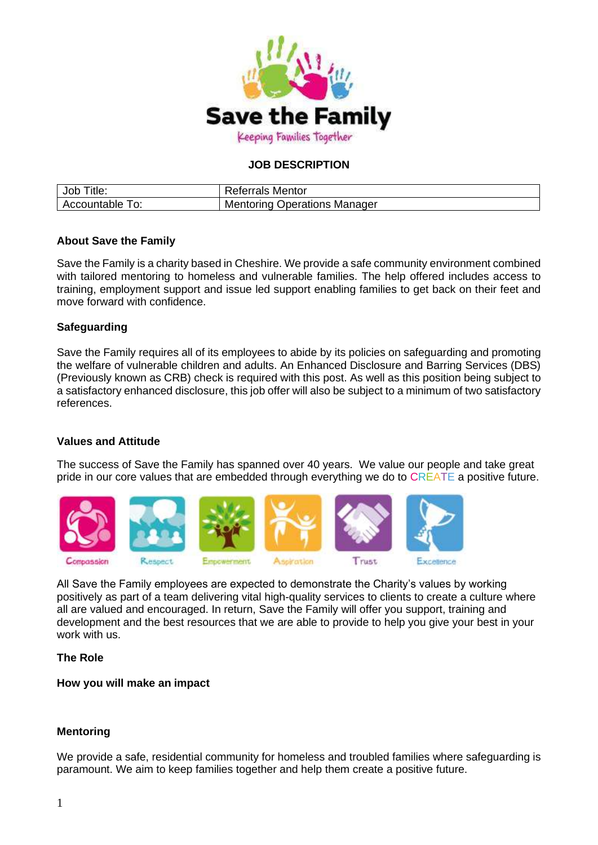

# **JOB DESCRIPTION**

| Job<br>≒itle:      | <b>Referrals Mentor</b>             |
|--------------------|-------------------------------------|
| Accountable<br>TO: | <b>Mentoring Operations Manager</b> |

## **About Save the Family**

Save the Family is a charity based in Cheshire. We provide a safe community environment combined with tailored mentoring to homeless and vulnerable families. The help offered includes access to training, employment support and issue led support enabling families to get back on their feet and move forward with confidence.

## **Safeguarding**

Save the Family requires all of its employees to abide by its policies on safeguarding and promoting the welfare of vulnerable children and adults. An Enhanced Disclosure and Barring Services (DBS) (Previously known as CRB) check is required with this post. As well as this position being subject to a satisfactory enhanced disclosure, this job offer will also be subject to a minimum of two satisfactory references.

## **Values and Attitude**

The success of Save the Family has spanned over 40 years. We value our people and take great pride in our core values that are embedded through everything we do to CREATE a positive future.



All Save the Family employees are expected to demonstrate the Charity's values by working positively as part of a team delivering vital high-quality services to clients to create a culture where all are valued and encouraged. In return, Save the Family will offer you support, training and development and the best resources that we are able to provide to help you give your best in your work with us.

#### **The Role**

**How you will make an impact**

#### **Mentoring**

We provide a safe, residential community for homeless and troubled families where safeguarding is paramount. We aim to keep families together and help them create a positive future.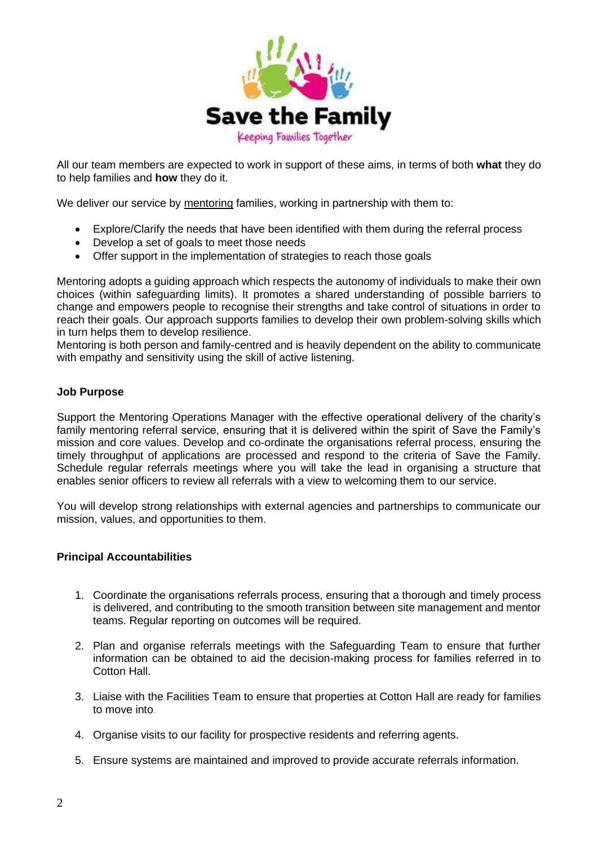

All our team members are expected to work in support of these aims, in terms of both **what** they do to help families and **how** they do it.

We deliver our service by mentoring families, working in partnership with them to:

- Explore/Clarify the needs that have been identified with them during the referral process
- Develop a set of goals to meet those needs
- Offer support in the implementation of strategies to reach those goals

Mentoring adopts a guiding approach which respects the autonomy of individuals to make their own choices (within safeguarding limits). It promotes a shared understanding of possible barriers to change and empowers people to recognise their strengths and take control of situations in order to reach their goals. Our approach supports families to develop their own problem-solving skills which in turn helps them to develop resilience.

Mentoring is both person and family-centred and is heavily dependent on the ability to communicate with empathy and sensitivity using the skill of active listening.

## **Job Purpose**

Support the Mentoring Operations Manager with the effective operational delivery of the charity's family mentoring referral service, ensuring that it is delivered within the spirit of Save the Family's mission and core values. Develop and co-ordinate the organisations referral process, ensuring the timely throughput of applications are processed and respond to the criteria of Save the Family. Schedule regular referrals meetings where you will take the lead in organising a structure that enables senior officers to review all referrals with a view to welcoming them to our service.

You will develop strong relationships with external agencies and partnerships to communicate our mission, values, and opportunities to them.

## **Principal Accountabilities**

- 1. Coordinate the organisations referrals process, ensuring that a thorough and timely process is delivered, and contributing to the smooth transition between site management and mentor teams. Regular reporting on outcomes will be required.
- 2. Plan and organise referrals meetings with the Safeguarding Team to ensure that further information can be obtained to aid the decision-making process for families referred in to Cotton Hall.
- 3. Liaise with the Facilities Team to ensure that properties at Cotton Hall are ready for families to move into.
- 4. Organise visits to our facility for prospective residents and referring agents.
- 5. Ensure systems are maintained and improved to provide accurate referrals information.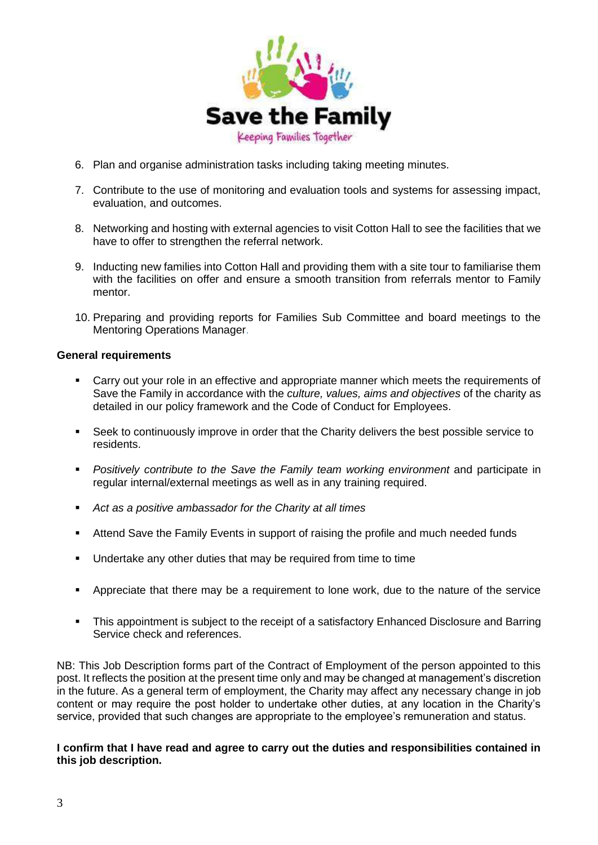

- 6. Plan and organise administration tasks including taking meeting minutes.
- 7. Contribute to the use of monitoring and evaluation tools and systems for assessing impact, evaluation, and outcomes.
- 8. Networking and hosting with external agencies to visit Cotton Hall to see the facilities that we have to offer to strengthen the referral network.
- 9. Inducting new families into Cotton Hall and providing them with a site tour to familiarise them with the facilities on offer and ensure a smooth transition from referrals mentor to Family mentor.
- 10. Preparing and providing reports for Families Sub Committee and board meetings to the Mentoring Operations Manager.

## **General requirements**

- Carry out your role in an effective and appropriate manner which meets the requirements of Save the Family in accordance with the *culture, values, aims and objectives* of the charity as detailed in our policy framework and the Code of Conduct for Employees.
- Seek to continuously improve in order that the Charity delivers the best possible service to residents.
- *Positively contribute to the Save the Family team working environment* and participate in regular internal/external meetings as well as in any training required.
- *Act as a positive ambassador for the Charity at all times*
- Attend Save the Family Events in support of raising the profile and much needed funds
- Undertake any other duties that may be required from time to time
- Appreciate that there may be a requirement to lone work, due to the nature of the service
- **EXECT** This appointment is subject to the receipt of a satisfactory Enhanced Disclosure and Barring Service check and references.

NB: This Job Description forms part of the Contract of Employment of the person appointed to this post. It reflects the position at the present time only and may be changed at management's discretion in the future. As a general term of employment, the Charity may affect any necessary change in job content or may require the post holder to undertake other duties, at any location in the Charity's service, provided that such changes are appropriate to the employee's remuneration and status.

## **I confirm that I have read and agree to carry out the duties and responsibilities contained in this job description.**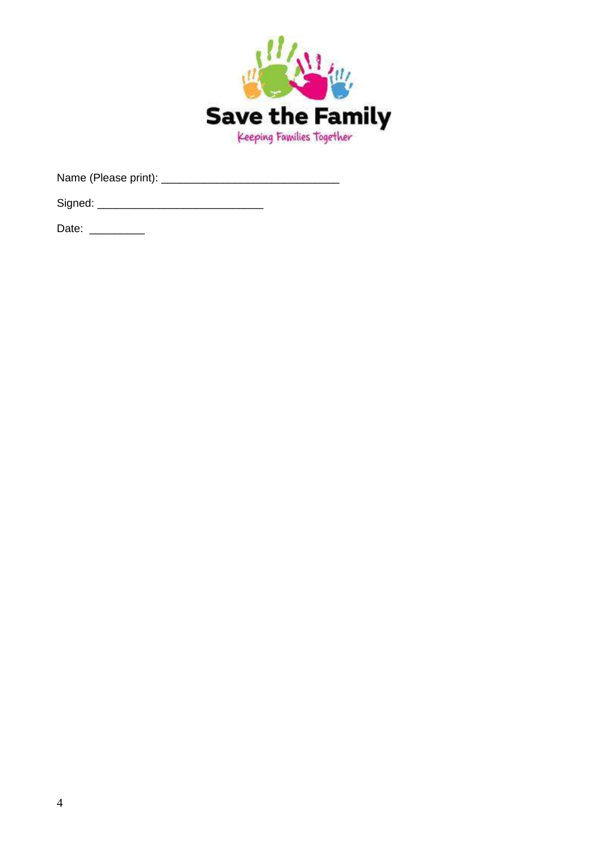

Date: \_\_\_\_\_\_\_\_\_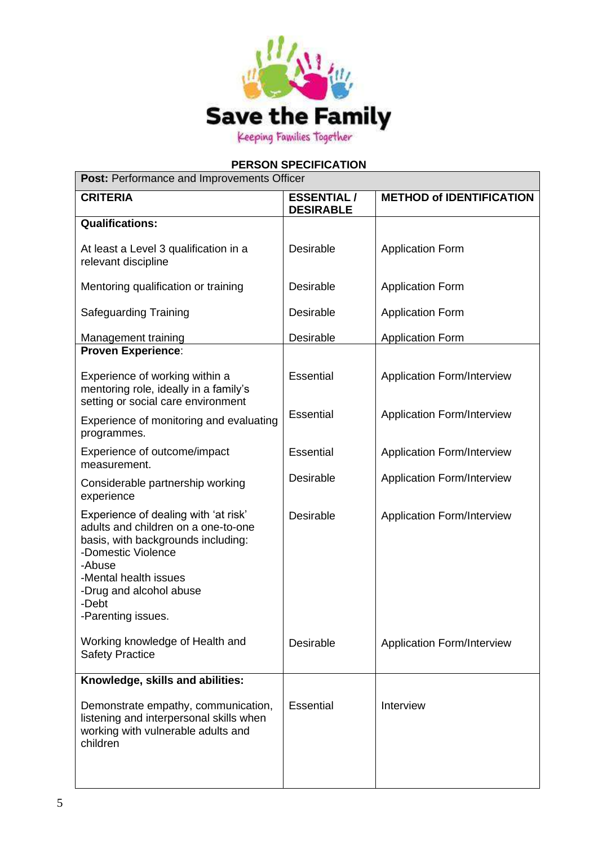

# **PERSON SPECIFICATION**

| <b>Post: Performance and Improvements Officer</b>                                                                                                                                                                                    |                                       |                                   |  |  |
|--------------------------------------------------------------------------------------------------------------------------------------------------------------------------------------------------------------------------------------|---------------------------------------|-----------------------------------|--|--|
| <b>CRITERIA</b>                                                                                                                                                                                                                      | <b>ESSENTIAL/</b><br><b>DESIRABLE</b> | <b>METHOD of IDENTIFICATION</b>   |  |  |
| <b>Qualifications:</b>                                                                                                                                                                                                               |                                       |                                   |  |  |
| At least a Level 3 qualification in a<br>relevant discipline                                                                                                                                                                         | Desirable                             | <b>Application Form</b>           |  |  |
| Mentoring qualification or training                                                                                                                                                                                                  | <b>Desirable</b>                      | <b>Application Form</b>           |  |  |
| <b>Safeguarding Training</b>                                                                                                                                                                                                         | Desirable                             | <b>Application Form</b>           |  |  |
| Management training                                                                                                                                                                                                                  | Desirable                             | <b>Application Form</b>           |  |  |
| <b>Proven Experience:</b>                                                                                                                                                                                                            |                                       |                                   |  |  |
| Experience of working within a<br>mentoring role, ideally in a family's<br>setting or social care environment                                                                                                                        | <b>Essential</b>                      | <b>Application Form/Interview</b> |  |  |
| Experience of monitoring and evaluating<br>programmes.                                                                                                                                                                               | <b>Essential</b>                      | <b>Application Form/Interview</b> |  |  |
| Experience of outcome/impact<br>measurement.                                                                                                                                                                                         | <b>Essential</b>                      | <b>Application Form/Interview</b> |  |  |
| Considerable partnership working<br>experience                                                                                                                                                                                       | Desirable                             | <b>Application Form/Interview</b> |  |  |
| Experience of dealing with 'at risk'<br>adults and children on a one-to-one<br>basis, with backgrounds including:<br>-Domestic Violence<br>-Abuse<br>-Mental health issues<br>-Drug and alcohol abuse<br>-Debt<br>-Parenting issues. | <b>Desirable</b>                      | <b>Application Form/Interview</b> |  |  |
| Working knowledge of Health and<br><b>Safety Practice</b>                                                                                                                                                                            | Desirable                             | <b>Application Form/Interview</b> |  |  |
| Knowledge, skills and abilities:                                                                                                                                                                                                     |                                       |                                   |  |  |
| Demonstrate empathy, communication,<br>listening and interpersonal skills when<br>working with vulnerable adults and<br>children                                                                                                     | <b>Essential</b>                      | Interview                         |  |  |
|                                                                                                                                                                                                                                      |                                       |                                   |  |  |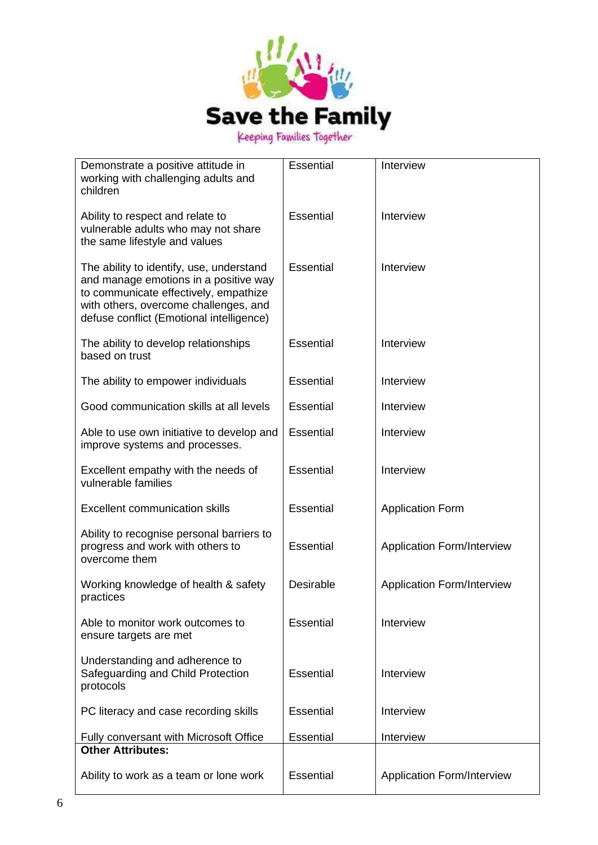

| Demonstrate a positive attitude in<br>working with challenging adults and<br>children                                                                                                                           | Essential        | Interview                         |
|-----------------------------------------------------------------------------------------------------------------------------------------------------------------------------------------------------------------|------------------|-----------------------------------|
| Ability to respect and relate to<br>vulnerable adults who may not share<br>the same lifestyle and values                                                                                                        | <b>Essential</b> | Interview                         |
| The ability to identify, use, understand<br>and manage emotions in a positive way<br>to communicate effectively, empathize<br>with others, overcome challenges, and<br>defuse conflict (Emotional intelligence) | <b>Essential</b> | Interview                         |
| The ability to develop relationships<br>based on trust                                                                                                                                                          | <b>Essential</b> | Interview                         |
| The ability to empower individuals                                                                                                                                                                              | <b>Essential</b> | Interview                         |
| Good communication skills at all levels                                                                                                                                                                         | <b>Essential</b> | Interview                         |
| Able to use own initiative to develop and<br>improve systems and processes.                                                                                                                                     | <b>Essential</b> | Interview                         |
| Excellent empathy with the needs of<br>vulnerable families                                                                                                                                                      | <b>Essential</b> | Interview                         |
| <b>Excellent communication skills</b>                                                                                                                                                                           | <b>Essential</b> | <b>Application Form</b>           |
| Ability to recognise personal barriers to<br>progress and work with others to<br>overcome them                                                                                                                  | <b>Essential</b> | <b>Application Form/Interview</b> |
| Working knowledge of health & safety<br>practices                                                                                                                                                               | <b>Desirable</b> | <b>Application Form/Interview</b> |
| Able to monitor work outcomes to<br>ensure targets are met                                                                                                                                                      | <b>Essential</b> | Interview                         |
| Understanding and adherence to<br>Safeguarding and Child Protection<br>protocols                                                                                                                                | <b>Essential</b> | Interview                         |
| PC literacy and case recording skills                                                                                                                                                                           | <b>Essential</b> | Interview                         |
| Fully conversant with Microsoft Office<br><b>Other Attributes:</b>                                                                                                                                              | <b>Essential</b> | Interview                         |
| Ability to work as a team or lone work                                                                                                                                                                          | <b>Essential</b> | <b>Application Form/Interview</b> |